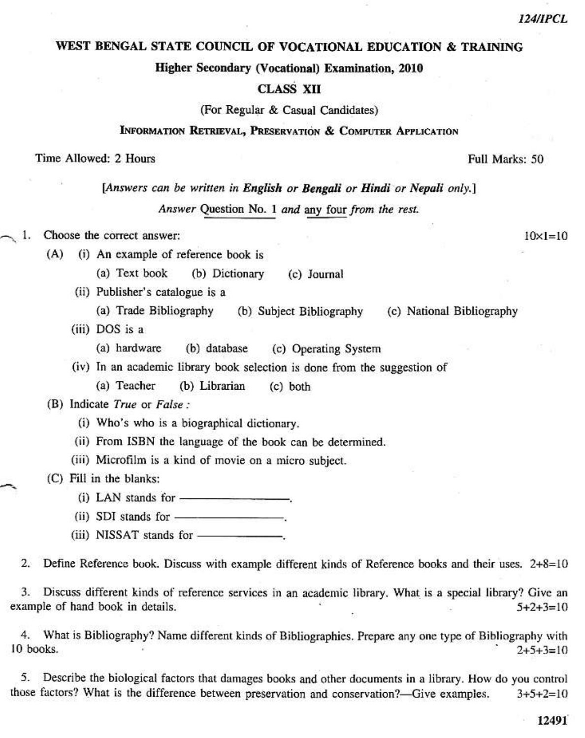#### WEST BENGAL STATE COUNCIL OF VOCATIONAL EDUCATION & TRAINING

Higher Secondary (Vocational) Examination, 2010

## **CLASS XII**

(For Regular & Casual Candidates)

## INFORMATION RETRIEVAL, PRESERVATION & COMPUTER APPLICATION

#### Time Allowed: 2 Hours

[Answers can be written in English or Bengali or Hindi or Nepali only.]

Answer Question No. 1 and any four from the rest.

1. Choose the correct answer:

> (i) An example of reference book is  $(A)$

> > (a) Text book (b) Dictionary (c) Journal

(ii) Publisher's catalogue is a

(a) Trade Bibliography (b) Subject Bibliography (c) National Bibliography

(iii) DOS is a

(a) hardware (b) database (c) Operating System

(iv) In an academic library book selection is done from the suggestion of

(a) Teacher (b) Librarian  $(c)$  both

#### (B) Indicate True or False:

- (i) Who's who is a biographical dictionary.
- (ii) From ISBN the language of the book can be determined.

(iii) Microfilm is a kind of movie on a micro subject.

(C) Fill in the blanks:

- 
- 
- 

 $2.$ Define Reference book. Discuss with example different kinds of Reference books and their uses. 2+8=10

3. Discuss different kinds of reference services in an academic library. What is a special library? Give an example of hand book in details.  $5+2+3=10$ 

4. What is Bibliography? Name different kinds of Bibliographies. Prepare any one type of Bibliography with 10 books.  $2+5+3=10$ 

5. Describe the biological factors that damages books and other documents in a library. How do you control those factors? What is the difference between preservation and conservation?-Give examples.  $3+5+2=10$ 

Full Marks: 50

 $10 \times 1 = 10$ 

**124/IPCL**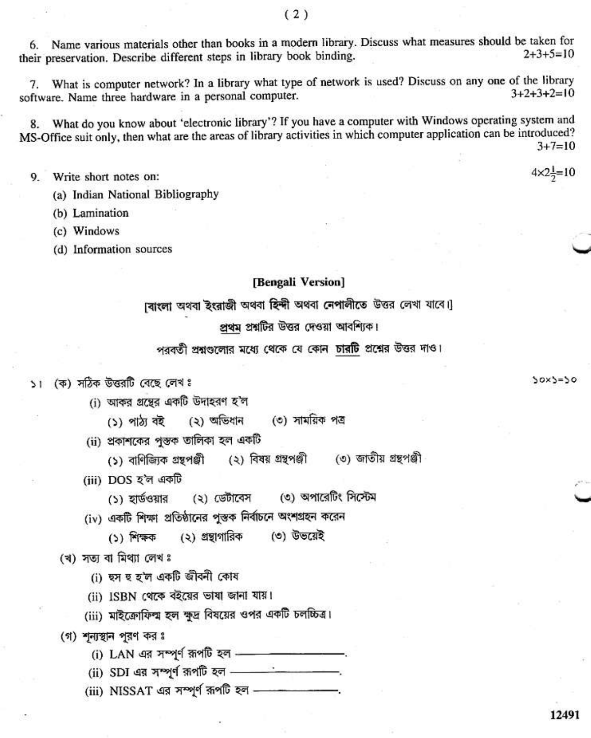Name various materials other than books in a modern library. Discuss what measures should be taken for 6.  $2+3+5=10$ their preservation. Describe different steps in library book binding.

What is computer network? In a library what type of network is used? Discuss on any one of the library 7.  $3+2+3+2=10$ software. Name three hardware in a personal computer.

What do you know about 'electronic library'? If you have a computer with Windows operating system and 8. MS-Office suit only, then what are the areas of library activities in which computer application can be introduced?  $3+7=10$ 

- Write short notes on: 9.
	- (a) Indian National Bibliography
	- (b) Lamination
	- (c) Windows
	- (d) Information sources

#### [Bengali Version]

বোংলা অথবা ইংরাজী অথবা হিন্দী অথবা নেপালীতে উত্তর লেখা যাবে।

# প্রথম প্রশ্নটির উত্তর দেওয়া আবশ্যিক।

পরবর্তী প্রশ্নগুলোর মধ্যে থেকে যে কোন চারটি প্রশ্নের উত্তর দাও।

#### (ক) সঠিক উত্তরটি বেছে লেখ ঃ  $\geq 1$

- (i) আকর গুন্তের একটি উদাহরণ হ'ল
	- (২) অভিধান (৩) সাময়িক পত্ৰ (১) পাঠ্য বই
- (ii) প্রকাশকের পুস্তক তালিকা হল একটি

(১) বাণিজ্যিক গ্ৰন্থপঞ্জী (২) বিষয় গ্ৰন্থপঞ্জী (৩) জাতীয় গ্ৰন্থপঞ্জী

- (iii) DOS হ'ল একটি
	- (৩) অপারেটিং সিস্টেম (১) হার্ডওয়ার (২) ডেটাবেস
- (iv) একটি শিক্ষা প্রতিষ্ঠানের পুস্তক নির্বাচনে অংশগ্রহন করেন
	- (২) গ্রন্থাগারিক (৩) উভয়েই  $(5)$  শিক্ষক

## (খ) সতা বা মিথ্যা লেখঃ

- (i) হুস হু হ'ল একটি জীবনী কোষ
- (ii) ISBN থেকে বইয়ের ভাষা জানা যায়।
- (iii) মাইক্রোফিল্ম হল ক্ষুদ্র বিষয়ের ওপর একটি চলচ্চিত্র।
- (গ) শূন্যস্থান পূরণ কর ঃ
	- (i) LAN এর সম্পূর্ণ রূপটি হল - - - - - - -
	- (ii) SDI এর সম্পূর্ণ রূপটি হল ---------------------
	- (iii) NISSAT এর সম্পূর্ণ রূপটি হল - - - - -

 $50x5=50$ 

 $4 \times 2\frac{1}{2} = 10$